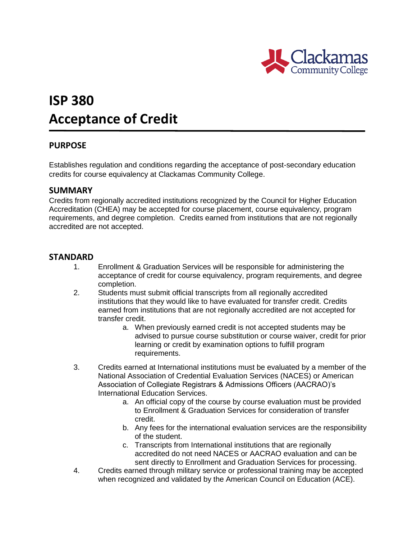

# **ISP 380 Acceptance of Credit**

## **PURPOSE**

Establishes regulation and conditions regarding the acceptance of post-secondary education credits for course equivalency at Clackamas Community College.

### **SUMMARY**

Credits from regionally accredited institutions recognized by the Council for Higher Education Accreditation (CHEA) may be accepted for course placement, course equivalency, program requirements, and degree completion. Credits earned from institutions that are not regionally accredited are not accepted.

### **STANDARD**

- 1. Enrollment & Graduation Services will be responsible for administering the acceptance of credit for course equivalency, program requirements, and degree completion.
- 2. Students must submit official transcripts from all regionally accredited institutions that they would like to have evaluated for transfer credit. Credits earned from institutions that are not regionally accredited are not accepted for transfer credit.
	- a. When previously earned credit is not accepted students may be advised to pursue course substitution or course waiver, credit for prior learning or credit by examination options to fulfill program requirements.
- 3. Credits earned at International institutions must be evaluated by a member of the National Association of Credential Evaluation Services (NACES) or American Association of Collegiate Registrars & Admissions Officers (AACRAO)'s International Education Services.
	- a. An official copy of the course by course evaluation must be provided to Enrollment & Graduation Services for consideration of transfer credit.
	- b. Any fees for the international evaluation services are the responsibility of the student.
	- c. Transcripts from International institutions that are regionally accredited do not need NACES or AACRAO evaluation and can be sent directly to Enrollment and Graduation Services for processing.
- 4. Credits earned through military service or professional training may be accepted when recognized and validated by the American Council on Education (ACE).